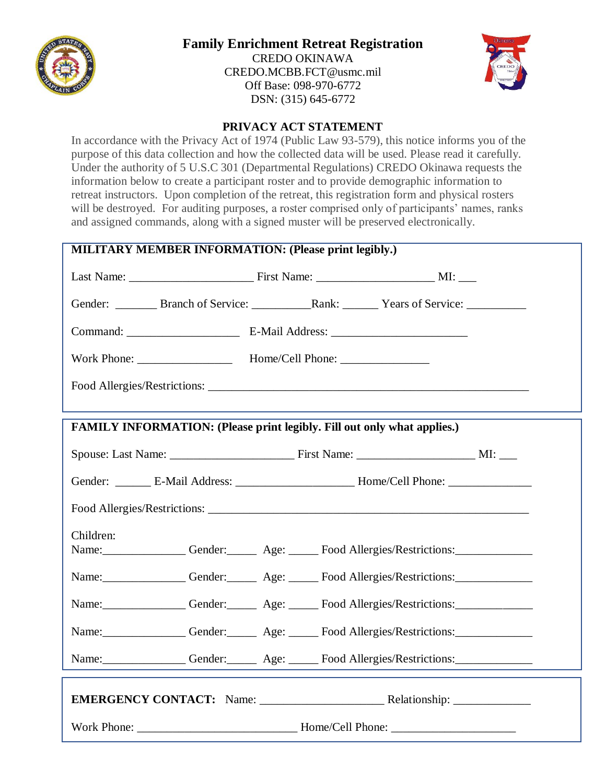

## **Family Enrichment Retreat Registration**

CREDO OKINAWA [CREDO.MCBB.FCT@usmc.mil](mailto:CREDO.MCBB.FCT@usmc.mil) Off Base: 098-970-6772 DSN: (315) 645-6772



## **PRIVACY ACT STATEMENT**

In accordance with the Privacy Act of 1974 (Public Law 93-579), this notice informs you of the purpose of this data collection and how the collected data will be used. Please read it carefully. Under the authority of 5 U.S.C 301 (Departmental Regulations) CREDO Okinawa requests the information below to create a participant roster and to provide demographic information to retreat instructors. Upon completion of the retreat, this registration form and physical rosters will be destroyed. For auditing purposes, a roster comprised only of participants' names, ranks and assigned commands, along with a signed muster will be preserved electronically.

| <b>MILITARY MEMBER INFORMATION: (Please print legibly.)</b>                    |  |  |                                                                                                     |  |  |  |
|--------------------------------------------------------------------------------|--|--|-----------------------------------------------------------------------------------------------------|--|--|--|
|                                                                                |  |  |                                                                                                     |  |  |  |
|                                                                                |  |  |                                                                                                     |  |  |  |
|                                                                                |  |  |                                                                                                     |  |  |  |
|                                                                                |  |  |                                                                                                     |  |  |  |
|                                                                                |  |  |                                                                                                     |  |  |  |
|                                                                                |  |  |                                                                                                     |  |  |  |
| <b>FAMILY INFORMATION: (Please print legibly. Fill out only what applies.)</b> |  |  |                                                                                                     |  |  |  |
|                                                                                |  |  |                                                                                                     |  |  |  |
|                                                                                |  |  | Gender: _________ E-Mail Address: ___________________________ Home/Cell Phone: ____________________ |  |  |  |
|                                                                                |  |  |                                                                                                     |  |  |  |
| Children:                                                                      |  |  |                                                                                                     |  |  |  |
| Name: Gender: Gender: Age: Food Allergies/Restrictions:                        |  |  |                                                                                                     |  |  |  |
| Name: Gender: Age: Food Allergies/Restrictions:                                |  |  |                                                                                                     |  |  |  |
| Name: Gender: Gender: Age: Food Allergies/Restrictions:                        |  |  |                                                                                                     |  |  |  |
| Name: Gender: Age: Food Allergies/Restrictions:                                |  |  |                                                                                                     |  |  |  |
| Name: Gender: Age: Food Allergies/Restrictions:                                |  |  |                                                                                                     |  |  |  |
|                                                                                |  |  |                                                                                                     |  |  |  |
|                                                                                |  |  |                                                                                                     |  |  |  |